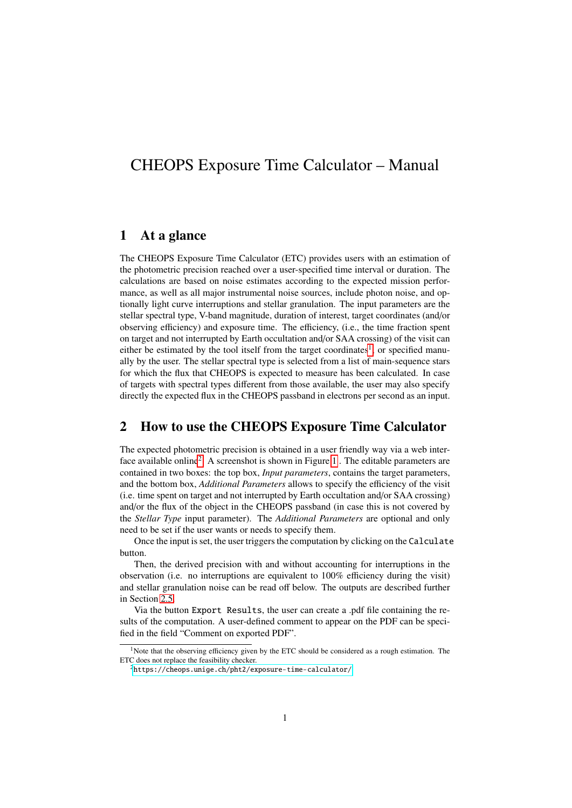# CHEOPS Exposure Time Calculator – Manual

## 1 At a glance

The CHEOPS Exposure Time Calculator (ETC) provides users with an estimation of the photometric precision reached over a user-specified time interval or duration. The calculations are based on noise estimates according to the expected mission performance, as well as all major instrumental noise sources, include photon noise, and optionally light curve interruptions and stellar granulation. The input parameters are the stellar spectral type, V-band magnitude, duration of interest, target coordinates (and/or observing efficiency) and exposure time. The efficiency, (i.e., the time fraction spent on target and not interrupted by Earth occultation and/or SAA crossing) of the visit can either be estimated by the tool itself from the target coordinates<sup>[1](#page-0-0)</sup>, or specified manually by the user. The stellar spectral type is selected from a list of main-sequence stars for which the flux that CHEOPS is expected to measure has been calculated. In case of targets with spectral types different from those available, the user may also specify directly the expected flux in the CHEOPS passband in electrons per second as an input.

# 2 How to use the CHEOPS Exposure Time Calculator

The expected photometric precision is obtained in a user friendly way via a web inter-face available online<sup>[2](#page-0-1)</sup>. A screenshot is shown in Figure [1](#page-1-0). The editable parameters are contained in two boxes: the top box, *Input parameters*, contains the target parameters, and the bottom box, *Additional Parameters* allows to specify the efficiency of the visit (i.e. time spent on target and not interrupted by Earth occultation and/or SAA crossing) and/or the flux of the object in the CHEOPS passband (in case this is not covered by the *Stellar Type* input parameter). The *Additional Parameters* are optional and only need to be set if the user wants or needs to specify them.

Once the input is set, the user triggers the computation by clicking on the Calculate button.

Then, the derived precision with and without accounting for interruptions in the observation (i.e. no interruptions are equivalent to 100% efficiency during the visit) and stellar granulation noise can be read off below. The outputs are described further in Section [2.5.](#page-3-0)

Via the button Export Results, the user can create a .pdf file containing the results of the computation. A user-defined comment to appear on the PDF can be specified in the field "Comment on exported PDF".

<span id="page-0-0"></span><sup>&</sup>lt;sup>1</sup>Note that the observing efficiency given by the ETC should be considered as a rough estimation. The ETC does not replace the feasibility checker.

<span id="page-0-1"></span> $2$ <https://cheops.unige.ch/pht2/exposure-time-calculator/>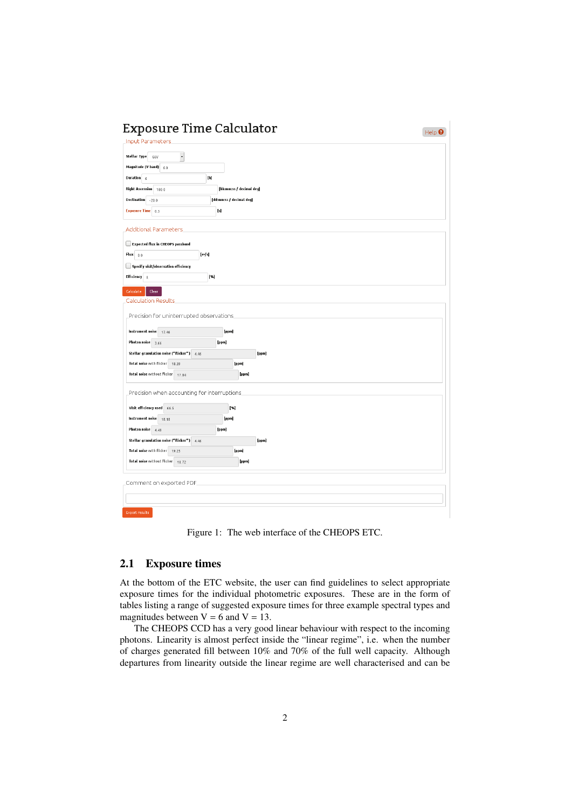<span id="page-1-0"></span>

| <b>Input Parameters</b><br>Stellar Type<br>G6V<br>Magnitude (V band) $6.0$<br>Duration $6$<br>[h]<br>Right Ascension 100.0<br>[hh:mm:ss / decimal deg]<br>Declination -20.0<br>[dd:mm:ss / decimal deg]<br><b>Exposure Time</b> 0.5<br>$[s] % \begin{center} % \includegraphics[width=\linewidth]{imagesSupplemental_3.png} % \end{center} % \caption { % \textit{DefNet} and \textit{DefNet}~\textit{DefNet}~\textit{DefNet}~\textit{DefNet}~\textit{DefNet}~\textit{DefNet}~\textit{DefNet}~\textit{DefNet}~\textit{DefNet}~\textit{DefNet}~\textit{DefNet}~\textit{DefNet}~\textit{DefNet}~\textit{DefNet}~\textit{DefNet}~\textit{DefNet}~\textit{DefNet}~\textit{DefNet}~\textit{DefNet}~\textit{DefNet}~\textit{DefNet}~\textit{DefNet}~$<br><b>Additional Parameters</b><br><b>Expected flux in CHEOPS passband</b><br>$Flux$ 0.0<br>$[e -   s]$<br>$\Box$ Specify visit/observation efficiency<br>Efficiency 0.<br>[%]<br>Calculate<br>Clear<br><b>Calculation Results</b><br>Precision for uninterrupted observations<br>Instrument noise 17.46<br>[ppm]<br>Photon noise 3.66<br>[ppm]<br>Stellar granulation noise ("flicker") 4.46<br>[ppm]<br>Total noise with flicker 18.39<br>[ppm]<br>Total noise without flicker 17.84<br>[ppm]<br>Precision when accounting for interruptions<br>Visit efficiency used 66.5<br>[%]<br>Instrument noise 18.18<br>[ppm]<br>Photon noise 4.49<br>[ppm]<br>Stellar granulation noise ("flicker") 4.46<br>[ppm]<br>Total noise with flicker 19.25<br>[ppm]<br>Total noise without flicker 18.72<br>[ppm]<br>Comment on exported PDF | <b>Exposure Time Calculator</b> | Help $\boldsymbol{\Theta}$ |
|---------------------------------------------------------------------------------------------------------------------------------------------------------------------------------------------------------------------------------------------------------------------------------------------------------------------------------------------------------------------------------------------------------------------------------------------------------------------------------------------------------------------------------------------------------------------------------------------------------------------------------------------------------------------------------------------------------------------------------------------------------------------------------------------------------------------------------------------------------------------------------------------------------------------------------------------------------------------------------------------------------------------------------------------------------------------------------------------------------------------------------------------------------------------------------------------------------------------------------------------------------------------------------------------------------------------------------------------------------------------------------------------------------------------------------------------------------------------------------------------------------------------------------------------------------------------------------|---------------------------------|----------------------------|
|                                                                                                                                                                                                                                                                                                                                                                                                                                                                                                                                                                                                                                                                                                                                                                                                                                                                                                                                                                                                                                                                                                                                                                                                                                                                                                                                                                                                                                                                                                                                                                                 |                                 |                            |
|                                                                                                                                                                                                                                                                                                                                                                                                                                                                                                                                                                                                                                                                                                                                                                                                                                                                                                                                                                                                                                                                                                                                                                                                                                                                                                                                                                                                                                                                                                                                                                                 |                                 |                            |
|                                                                                                                                                                                                                                                                                                                                                                                                                                                                                                                                                                                                                                                                                                                                                                                                                                                                                                                                                                                                                                                                                                                                                                                                                                                                                                                                                                                                                                                                                                                                                                                 |                                 |                            |
|                                                                                                                                                                                                                                                                                                                                                                                                                                                                                                                                                                                                                                                                                                                                                                                                                                                                                                                                                                                                                                                                                                                                                                                                                                                                                                                                                                                                                                                                                                                                                                                 |                                 |                            |
|                                                                                                                                                                                                                                                                                                                                                                                                                                                                                                                                                                                                                                                                                                                                                                                                                                                                                                                                                                                                                                                                                                                                                                                                                                                                                                                                                                                                                                                                                                                                                                                 |                                 |                            |
|                                                                                                                                                                                                                                                                                                                                                                                                                                                                                                                                                                                                                                                                                                                                                                                                                                                                                                                                                                                                                                                                                                                                                                                                                                                                                                                                                                                                                                                                                                                                                                                 |                                 |                            |
|                                                                                                                                                                                                                                                                                                                                                                                                                                                                                                                                                                                                                                                                                                                                                                                                                                                                                                                                                                                                                                                                                                                                                                                                                                                                                                                                                                                                                                                                                                                                                                                 |                                 |                            |
|                                                                                                                                                                                                                                                                                                                                                                                                                                                                                                                                                                                                                                                                                                                                                                                                                                                                                                                                                                                                                                                                                                                                                                                                                                                                                                                                                                                                                                                                                                                                                                                 |                                 |                            |
|                                                                                                                                                                                                                                                                                                                                                                                                                                                                                                                                                                                                                                                                                                                                                                                                                                                                                                                                                                                                                                                                                                                                                                                                                                                                                                                                                                                                                                                                                                                                                                                 |                                 |                            |
|                                                                                                                                                                                                                                                                                                                                                                                                                                                                                                                                                                                                                                                                                                                                                                                                                                                                                                                                                                                                                                                                                                                                                                                                                                                                                                                                                                                                                                                                                                                                                                                 |                                 |                            |
|                                                                                                                                                                                                                                                                                                                                                                                                                                                                                                                                                                                                                                                                                                                                                                                                                                                                                                                                                                                                                                                                                                                                                                                                                                                                                                                                                                                                                                                                                                                                                                                 |                                 |                            |
|                                                                                                                                                                                                                                                                                                                                                                                                                                                                                                                                                                                                                                                                                                                                                                                                                                                                                                                                                                                                                                                                                                                                                                                                                                                                                                                                                                                                                                                                                                                                                                                 |                                 |                            |
|                                                                                                                                                                                                                                                                                                                                                                                                                                                                                                                                                                                                                                                                                                                                                                                                                                                                                                                                                                                                                                                                                                                                                                                                                                                                                                                                                                                                                                                                                                                                                                                 |                                 |                            |
|                                                                                                                                                                                                                                                                                                                                                                                                                                                                                                                                                                                                                                                                                                                                                                                                                                                                                                                                                                                                                                                                                                                                                                                                                                                                                                                                                                                                                                                                                                                                                                                 |                                 |                            |
|                                                                                                                                                                                                                                                                                                                                                                                                                                                                                                                                                                                                                                                                                                                                                                                                                                                                                                                                                                                                                                                                                                                                                                                                                                                                                                                                                                                                                                                                                                                                                                                 |                                 |                            |
|                                                                                                                                                                                                                                                                                                                                                                                                                                                                                                                                                                                                                                                                                                                                                                                                                                                                                                                                                                                                                                                                                                                                                                                                                                                                                                                                                                                                                                                                                                                                                                                 |                                 |                            |
|                                                                                                                                                                                                                                                                                                                                                                                                                                                                                                                                                                                                                                                                                                                                                                                                                                                                                                                                                                                                                                                                                                                                                                                                                                                                                                                                                                                                                                                                                                                                                                                 |                                 |                            |
|                                                                                                                                                                                                                                                                                                                                                                                                                                                                                                                                                                                                                                                                                                                                                                                                                                                                                                                                                                                                                                                                                                                                                                                                                                                                                                                                                                                                                                                                                                                                                                                 |                                 |                            |
|                                                                                                                                                                                                                                                                                                                                                                                                                                                                                                                                                                                                                                                                                                                                                                                                                                                                                                                                                                                                                                                                                                                                                                                                                                                                                                                                                                                                                                                                                                                                                                                 |                                 |                            |
|                                                                                                                                                                                                                                                                                                                                                                                                                                                                                                                                                                                                                                                                                                                                                                                                                                                                                                                                                                                                                                                                                                                                                                                                                                                                                                                                                                                                                                                                                                                                                                                 |                                 |                            |
|                                                                                                                                                                                                                                                                                                                                                                                                                                                                                                                                                                                                                                                                                                                                                                                                                                                                                                                                                                                                                                                                                                                                                                                                                                                                                                                                                                                                                                                                                                                                                                                 |                                 |                            |
|                                                                                                                                                                                                                                                                                                                                                                                                                                                                                                                                                                                                                                                                                                                                                                                                                                                                                                                                                                                                                                                                                                                                                                                                                                                                                                                                                                                                                                                                                                                                                                                 |                                 |                            |
|                                                                                                                                                                                                                                                                                                                                                                                                                                                                                                                                                                                                                                                                                                                                                                                                                                                                                                                                                                                                                                                                                                                                                                                                                                                                                                                                                                                                                                                                                                                                                                                 |                                 |                            |
|                                                                                                                                                                                                                                                                                                                                                                                                                                                                                                                                                                                                                                                                                                                                                                                                                                                                                                                                                                                                                                                                                                                                                                                                                                                                                                                                                                                                                                                                                                                                                                                 |                                 |                            |
|                                                                                                                                                                                                                                                                                                                                                                                                                                                                                                                                                                                                                                                                                                                                                                                                                                                                                                                                                                                                                                                                                                                                                                                                                                                                                                                                                                                                                                                                                                                                                                                 |                                 |                            |
|                                                                                                                                                                                                                                                                                                                                                                                                                                                                                                                                                                                                                                                                                                                                                                                                                                                                                                                                                                                                                                                                                                                                                                                                                                                                                                                                                                                                                                                                                                                                                                                 |                                 |                            |
|                                                                                                                                                                                                                                                                                                                                                                                                                                                                                                                                                                                                                                                                                                                                                                                                                                                                                                                                                                                                                                                                                                                                                                                                                                                                                                                                                                                                                                                                                                                                                                                 |                                 |                            |
|                                                                                                                                                                                                                                                                                                                                                                                                                                                                                                                                                                                                                                                                                                                                                                                                                                                                                                                                                                                                                                                                                                                                                                                                                                                                                                                                                                                                                                                                                                                                                                                 |                                 |                            |
|                                                                                                                                                                                                                                                                                                                                                                                                                                                                                                                                                                                                                                                                                                                                                                                                                                                                                                                                                                                                                                                                                                                                                                                                                                                                                                                                                                                                                                                                                                                                                                                 |                                 |                            |
|                                                                                                                                                                                                                                                                                                                                                                                                                                                                                                                                                                                                                                                                                                                                                                                                                                                                                                                                                                                                                                                                                                                                                                                                                                                                                                                                                                                                                                                                                                                                                                                 |                                 |                            |
|                                                                                                                                                                                                                                                                                                                                                                                                                                                                                                                                                                                                                                                                                                                                                                                                                                                                                                                                                                                                                                                                                                                                                                                                                                                                                                                                                                                                                                                                                                                                                                                 |                                 |                            |
|                                                                                                                                                                                                                                                                                                                                                                                                                                                                                                                                                                                                                                                                                                                                                                                                                                                                                                                                                                                                                                                                                                                                                                                                                                                                                                                                                                                                                                                                                                                                                                                 |                                 |                            |
|                                                                                                                                                                                                                                                                                                                                                                                                                                                                                                                                                                                                                                                                                                                                                                                                                                                                                                                                                                                                                                                                                                                                                                                                                                                                                                                                                                                                                                                                                                                                                                                 |                                 |                            |
|                                                                                                                                                                                                                                                                                                                                                                                                                                                                                                                                                                                                                                                                                                                                                                                                                                                                                                                                                                                                                                                                                                                                                                                                                                                                                                                                                                                                                                                                                                                                                                                 |                                 |                            |
|                                                                                                                                                                                                                                                                                                                                                                                                                                                                                                                                                                                                                                                                                                                                                                                                                                                                                                                                                                                                                                                                                                                                                                                                                                                                                                                                                                                                                                                                                                                                                                                 |                                 |                            |
|                                                                                                                                                                                                                                                                                                                                                                                                                                                                                                                                                                                                                                                                                                                                                                                                                                                                                                                                                                                                                                                                                                                                                                                                                                                                                                                                                                                                                                                                                                                                                                                 |                                 |                            |
|                                                                                                                                                                                                                                                                                                                                                                                                                                                                                                                                                                                                                                                                                                                                                                                                                                                                                                                                                                                                                                                                                                                                                                                                                                                                                                                                                                                                                                                                                                                                                                                 |                                 |                            |

Figure 1: The web interface of the CHEOPS ETC.

### <span id="page-1-1"></span>2.1 Exposure times

At the bottom of the ETC website, the user can find guidelines to select appropriate exposure times for the individual photometric exposures. These are in the form of tables listing a range of suggested exposure times for three example spectral types and magnitudes between  $V = 6$  and  $V = 13$ .

The CHEOPS CCD has a very good linear behaviour with respect to the incoming photons. Linearity is almost perfect inside the "linear regime", i.e. when the number of charges generated fill between 10% and 70% of the full well capacity. Although departures from linearity outside the linear regime are well characterised and can be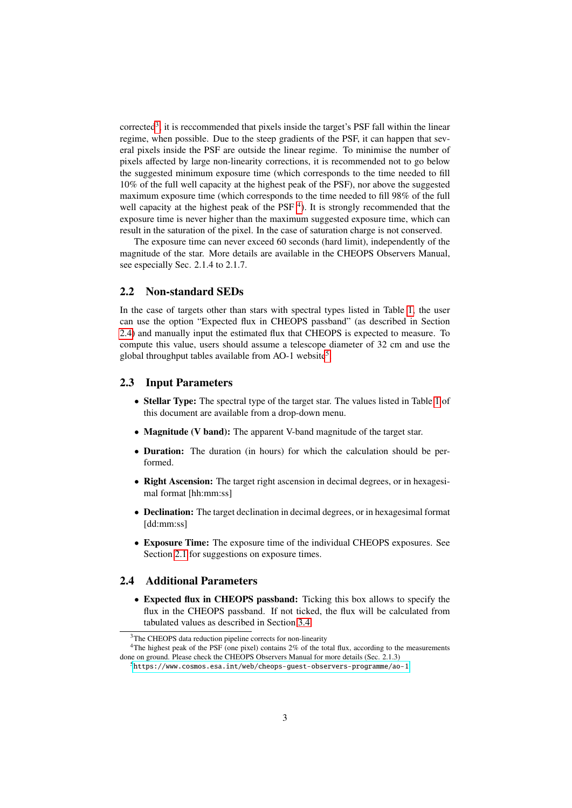corrected<sup>[3](#page-2-0)</sup>, it is reccommended that pixels inside the target's PSF fall within the linear regime, when possible. Due to the steep gradients of the PSF, it can happen that several pixels inside the PSF are outside the linear regime. To minimise the number of pixels affected by large non-linearity corrections, it is recommended not to go below the suggested minimum exposure time (which corresponds to the time needed to fill 10% of the full well capacity at the highest peak of the PSF), nor above the suggested maximum exposure time (which corresponds to the time needed to fill 98% of the full well capacity at the highest peak of the PSF<sup>[4](#page-2-1)</sup>). It is strongly recommended that the exposure time is never higher than the maximum suggested exposure time, which can result in the saturation of the pixel. In the case of saturation charge is not conserved.

The exposure time can never exceed 60 seconds (hard limit), independently of the magnitude of the star. More details are available in the CHEOPS Observers Manual, see especially Sec. 2.1.4 to 2.1.7.

#### 2.2 Non-standard SEDs

In the case of targets other than stars with spectral types listed in Table [1,](#page-7-0) the user can use the option "Expected flux in CHEOPS passband" (as described in Section [2.4\)](#page-2-2) and manually input the estimated flux that CHEOPS is expected to measure. To compute this value, users should assume a telescope diameter of 32 cm and use the global throughput tables available from AO-1 website<sup>[5](#page-2-3)</sup>.

### 2.3 Input Parameters

- Stellar Type: The spectral type of the target star. The values listed in Table [1](#page-7-0) of this document are available from a drop-down menu.
- Magnitude (V band): The apparent V-band magnitude of the target star.
- Duration: The duration (in hours) for which the calculation should be performed.
- Right Ascension: The target right ascension in decimal degrees, or in hexagesimal format [hh:mm:ss]
- Declination: The target declination in decimal degrees, or in hexagesimal format [dd:mm:ss]
- Exposure Time: The exposure time of the individual CHEOPS exposures. See Section [2.1](#page-1-1) for suggestions on exposure times.

### <span id="page-2-2"></span>2.4 Additional Parameters

• Expected flux in CHEOPS passband: Ticking this box allows to specify the flux in the CHEOPS passband. If not ticked, the flux will be calculated from tabulated values as described in Section [3.4.](#page-6-0)

<span id="page-2-1"></span><span id="page-2-0"></span><sup>&</sup>lt;sup>3</sup>The CHEOPS data reduction pipeline corrects for non-linearity

<sup>&</sup>lt;sup>4</sup>The highest peak of the PSF (one pixel) contains 2% of the total flux, according to the measurements done on ground. Please check the CHEOPS Observers Manual for more details (Sec. 2.1.3)

<span id="page-2-3"></span><sup>5</sup><https://www.cosmos.esa.int/web/cheops-guest-observers-programme/ao-1>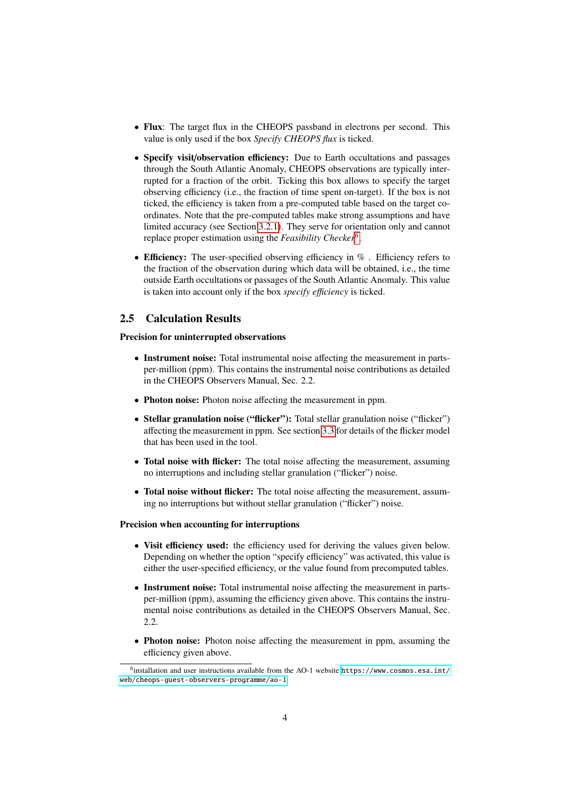- Flux: The target flux in the CHEOPS passband in electrons per second. This value is only used if the box *Specify CHEOPS flux* is ticked.
- Specify visit/observation efficiency: Due to Earth occultations and passages through the South Atlantic Anomaly, CHEOPS observations are typically interrupted for a fraction of the orbit. Ticking this box allows to specify the target observing efficiency (i.e., the fraction of time spent on-target). If the box is not ticked, the efficiency is taken from a pre-computed table based on the target coordinates. Note that the pre-computed tables make strong assumptions and have limited accuracy (see Section [3.2.1\)](#page-6-1). They serve for orientation only and cannot replace proper estimation using the *Feasibility Checker*[6](#page-3-1) .
- Efficiency: The user-specified observing efficiency in %. Efficiency refers to the fraction of the observation during which data will be obtained, i.e., the time outside Earth occultations or passages of the South Atlantic Anomaly. This value is taken into account only if the box *specify efficiency* is ticked.

#### <span id="page-3-0"></span>2.5 Calculation Results

#### Precision for uninterrupted observations

- Instrument noise: Total instrumental noise affecting the measurement in partsper-million (ppm). This contains the instrumental noise contributions as detailed in the CHEOPS Observers Manual, Sec. 2.2.
- Photon noise: Photon noise affecting the measurement in ppm.
- Stellar granulation noise ("flicker"): Total stellar granulation noise ("flicker") affecting the measurement in ppm. See section [3.3](#page-6-2) for details of the flicker model that has been used in the tool.
- Total noise with flicker: The total noise affecting the measurement, assuming no interruptions and including stellar granulation ("flicker") noise.
- Total noise without flicker: The total noise affecting the measurement, assuming no interruptions but without stellar granulation ("flicker") noise.

#### Precision when accounting for interruptions

- Visit efficiency used: the efficiency used for deriving the values given below. Depending on whether the option "specify efficiency" was activated, this value is either the user-specified efficiency, or the value found from precomputed tables.
- Instrument noise: Total instrumental noise affecting the measurement in partsper-million (ppm), assuming the efficiency given above. This contains the instrumental noise contributions as detailed in the CHEOPS Observers Manual, Sec. 2.2.
- Photon noise: Photon noise affecting the measurement in ppm, assuming the efficiency given above.

<span id="page-3-1"></span> $^6$ installation and user instructions available from the AO-1 website [https://www.cosmos.esa.int/](https://www.cosmos.esa.int/web/cheops-guest-observers-programme/ao-1) [web/cheops-guest-observers-programme/ao-1](https://www.cosmos.esa.int/web/cheops-guest-observers-programme/ao-1)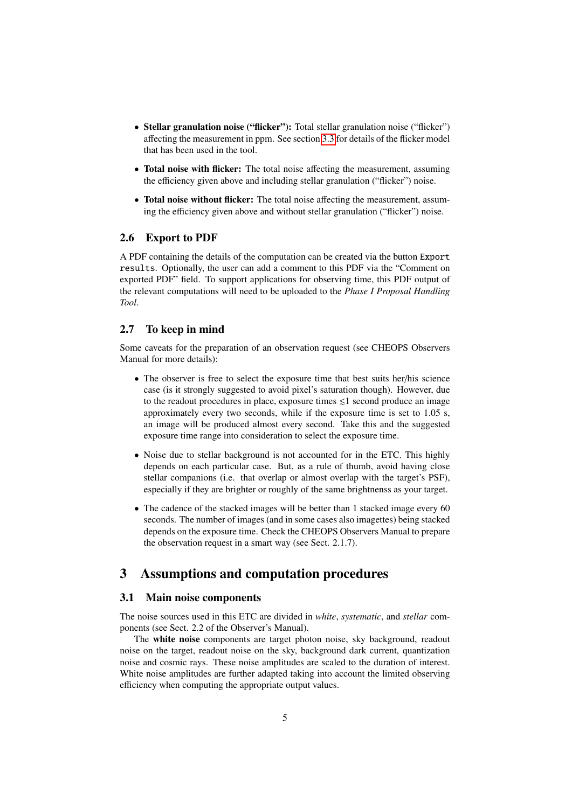- Stellar granulation noise ("flicker"): Total stellar granulation noise ("flicker") affecting the measurement in ppm. See section [3.3](#page-6-2) for details of the flicker model that has been used in the tool.
- Total noise with flicker: The total noise affecting the measurement, assuming the efficiency given above and including stellar granulation ("flicker") noise.
- Total noise without flicker: The total noise affecting the measurement, assuming the efficiency given above and without stellar granulation ("flicker") noise.

#### 2.6 Export to PDF

A PDF containing the details of the computation can be created via the button Export results. Optionally, the user can add a comment to this PDF via the "Comment on exported PDF" field. To support applications for observing time, this PDF output of the relevant computations will need to be uploaded to the *Phase I Proposal Handling Tool*.

## 2.7 To keep in mind

Some caveats for the preparation of an observation request (see CHEOPS Observers Manual for more details):

- The observer is free to select the exposure time that best suits her/his science case (is it strongly suggested to avoid pixel's saturation though). However, due to the readout procedures in place, exposure times  $\leq 1$  second produce an image approximately every two seconds, while if the exposure time is set to 1.05 s, an image will be produced almost every second. Take this and the suggested exposure time range into consideration to select the exposure time.
- Noise due to stellar background is not accounted for in the ETC. This highly depends on each particular case. But, as a rule of thumb, avoid having close stellar companions (i.e. that overlap or almost overlap with the target's PSF), especially if they are brighter or roughly of the same brightnenss as your target.
- The cadence of the stacked images will be better than 1 stacked image every 60 seconds. The number of images (and in some cases also imagettes) being stacked depends on the exposure time. Check the CHEOPS Observers Manual to prepare the observation request in a smart way (see Sect. 2.1.7).

## 3 Assumptions and computation procedures

#### 3.1 Main noise components

The noise sources used in this ETC are divided in *white*, *systematic*, and *stellar* components (see Sect. 2.2 of the Observer's Manual).

The white noise components are target photon noise, sky background, readout noise on the target, readout noise on the sky, background dark current, quantization noise and cosmic rays. These noise amplitudes are scaled to the duration of interest. White noise amplitudes are further adapted taking into account the limited observing efficiency when computing the appropriate output values.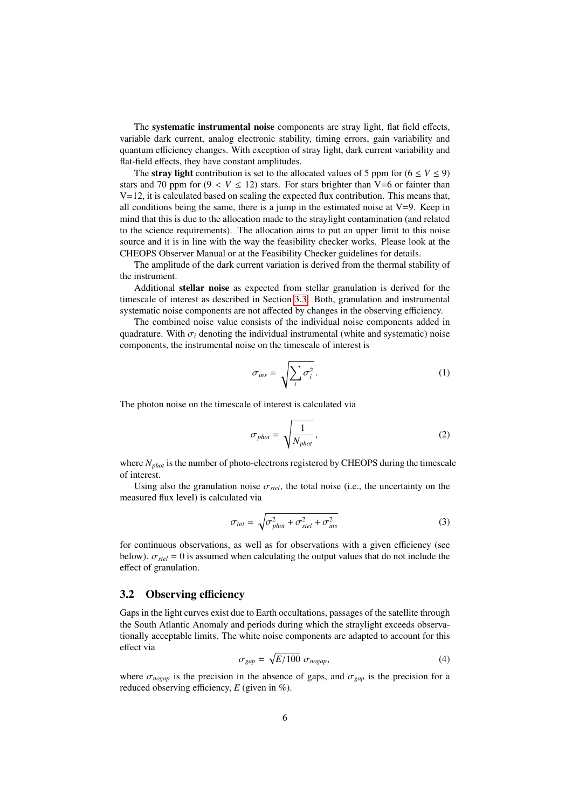The systematic instrumental noise components are stray light, flat field effects, variable dark current, analog electronic stability, timing errors, gain variability and quantum efficiency changes. With exception of stray light, dark current variability and flat-field effects, they have constant amplitudes.

The **stray light** contribution is set to the allocated values of 5 ppm for ( $6 \le V \le 9$ ) stars and 70 ppm for  $(9 < V \le 12)$  stars. For stars brighter than V=6 or fainter than  $V=12$ , it is calculated based on scaling the expected flux contribution. This means that, all conditions being the same, there is a jump in the estimated noise at  $V=9$ . Keep in mind that this is due to the allocation made to the straylight contamination (and related to the science requirements). The allocation aims to put an upper limit to this noise source and it is in line with the way the feasibility checker works. Please look at the CHEOPS Observer Manual or at the Feasibility Checker guidelines for details.

The amplitude of the dark current variation is derived from the thermal stability of the instrument.

Additional stellar noise as expected from stellar granulation is derived for the timescale of interest as described in Section [3.3.](#page-6-2) Both, granulation and instrumental systematic noise components are not affected by changes in the observing efficiency.

The combined noise value consists of the individual noise components added in quadrature. With  $\sigma_i$  denoting the individual instrumental (white and systematic) noise components, the instrumental noise on the timescale of interest is

$$
\sigma_{ins} = \sqrt{\sum_{i} \sigma_i^2} \,. \tag{1}
$$

The photon noise on the timescale of interest is calculated via

$$
\sigma_{phot} = \sqrt{\frac{1}{N_{phot}}},\tag{2}
$$

where *Nphot* is the number of photo-electrons registered by CHEOPS during the timescale of interest.

Using also the granulation noise  $\sigma_{\text{stel}}$ , the total noise (i.e., the uncertainty on the measured flux level) is calculated via

$$
\sigma_{tot} = \sqrt{\sigma_{phot}^2 + \sigma_{stel}^2 + \sigma_{ins}^2}
$$
 (3)

for continuous observations, as well as for observations with a given efficiency (see below).  $\sigma_{\text{stel}} = 0$  is assumed when calculating the output values that do not include the effect of granulation.

#### 3.2 Observing efficiency

Gaps in the light curves exist due to Earth occultations, passages of the satellite through the South Atlantic Anomaly and periods during which the straylight exceeds observationally acceptable limits. The white noise components are adapted to account for this effect via

$$
\sigma_{gap} = \sqrt{E/100} \; \sigma_{nogap}, \tag{4}
$$

where  $\sigma_{nogap}$  is the precision in the absence of gaps, and  $\sigma_{gap}$  is the precision for a reduced observing efficiency, *E* (given in %).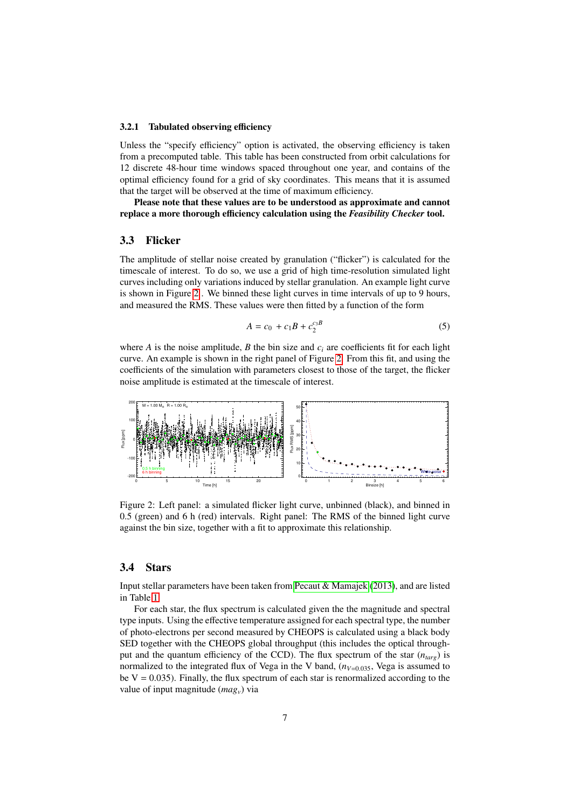#### <span id="page-6-1"></span>3.2.1 Tabulated observing efficiency

Unless the "specify efficiency" option is activated, the observing efficiency is taken from a precomputed table. This table has been constructed from orbit calculations for 12 discrete 48-hour time windows spaced throughout one year, and contains of the optimal efficiency found for a grid of sky coordinates. This means that it is assumed that the target will be observed at the time of maximum efficiency.

Please note that these values are to be understood as approximate and cannot replace a more thorough efficiency calculation using the *Feasibility Checker* tool.

## <span id="page-6-2"></span>3.3 Flicker

The amplitude of stellar noise created by granulation ("flicker") is calculated for the timescale of interest. To do so, we use a grid of high time-resolution simulated light curves including only variations induced by stellar granulation. An example light curve is shown in Figure [2](#page-6-3) . We binned these light curves in time intervals of up to 9 hours, and measured the RMS. These values were then fitted by a function of the form

$$
A = c_0 + c_1 B + c_2^{c_3 B} \tag{5}
$$

where *A* is the noise amplitude, *B* the bin size and  $c_i$  are coefficients fit for each light curve. An example is shown in the right panel of Figure [2.](#page-6-3) From this fit, and using the coefficients of the simulation with parameters closest to those of the target, the flicker noise amplitude is estimated at the timescale of interest.

<span id="page-6-3"></span>

Figure 2: Left panel: a simulated flicker light curve, unbinned (black), and binned in 0.5 (green) and 6 h (red) intervals. Right panel: The RMS of the binned light curve against the bin size, together with a fit to approximate this relationship.

#### <span id="page-6-0"></span>3.4 Stars

Input stellar parameters have been taken from Pecaut  $\&$  Mamajek [\(2013\)](#page-8-0), and are listed in Table [1.](#page-7-0)

For each star, the flux spectrum is calculated given the the magnitude and spectral type inputs. Using the effective temperature assigned for each spectral type, the number of photo-electrons per second measured by CHEOPS is calculated using a black body SED together with the CHEOPS global throughput (this includes the optical throughput and the quantum efficiency of the CCD). The flux spectrum of the star (*ntarg*) is normalized to the integrated flux of Vega in the V band,  $(n_{V=0.035},$  Vega is assumed to be  $V = 0.035$ ). Finally, the flux spectrum of each star is renormalized according to the value of input magnitude (*magv*) via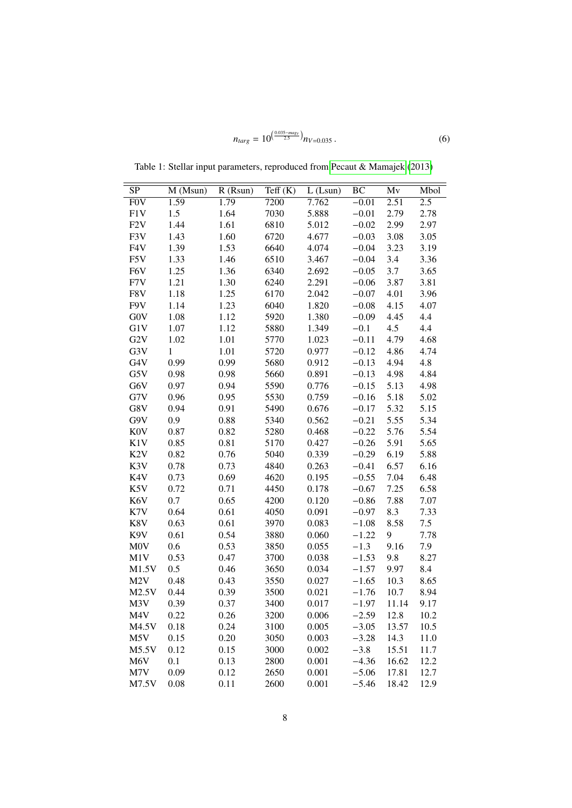$$
n_{targ} = 10^{\left(\frac{0.035 - mag_v}{2.5}\right)} n_{V=0.035} \,. \tag{6}
$$

| SP               | M (Msun)     | $R$ (Rsun) | $T\text{eff}(K)$ | $L$ (Lsun) | BC      | $\overline{\text{Mv}}$ | Mbol             |
|------------------|--------------|------------|------------------|------------|---------|------------------------|------------------|
| F <sub>0</sub> V | 1.59         | 1.79       | 7200             | 7.762      | $-0.01$ | 2.51                   | $\overline{2.5}$ |
| F1V              | 1.5          | 1.64       | 7030             | 5.888      | $-0.01$ | 2.79                   | 2.78             |
| F <sub>2</sub> V | 1.44         | 1.61       | 6810             | 5.012      | $-0.02$ | 2.99                   | 2.97             |
| F3V              | 1.43         | 1.60       | 6720             | 4.677      | $-0.03$ | 3.08                   | 3.05             |
| F4V              | 1.39         | 1.53       | 6640             | 4.074      | $-0.04$ | 3.23                   | 3.19             |
| F5V              | 1.33         | 1.46       | 6510             | 3.467      | $-0.04$ | 3.4                    | 3.36             |
| F6V              | 1.25         | 1.36       | 6340             | 2.692      | $-0.05$ | 3.7                    | 3.65             |
| F7V              | 1.21         | 1.30       | 6240             | 2.291      | $-0.06$ | 3.87                   | 3.81             |
| F8V              | 1.18         | 1.25       | 6170             | 2.042      | $-0.07$ | 4.01                   | 3.96             |
| F9V              | 1.14         | 1.23       | 6040             | 1.820      | $-0.08$ | 4.15                   | 4.07             |
| <b>GOV</b>       | 1.08         | 1.12       | 5920             | 1.380      | $-0.09$ | 4.45                   | 4.4              |
| G1V              | 1.07         | 1.12       | 5880             | 1.349      | $-0.1$  | 4.5                    | 4.4              |
| G <sub>2</sub> V | 1.02         | 1.01       | 5770             | 1.023      | $-0.11$ | 4.79                   | 4.68             |
| G3V              | $\mathbf{1}$ | 1.01       | 5720             | 0.977      | $-0.12$ | 4.86                   | 4.74             |
| G4V              | 0.99         | 0.99       | 5680             | 0.912      | $-0.13$ | 4.94                   | 4.8              |
| G5V              | 0.98         | 0.98       | 5660             | 0.891      | $-0.13$ | 4.98                   | 4.84             |
| G6V              | 0.97         | 0.94       | 5590             | 0.776      | $-0.15$ | 5.13                   | 4.98             |
| G7V              | 0.96         | 0.95       | 5530             | 0.759      | $-0.16$ | 5.18                   | 5.02             |
| G8V              | 0.94         | 0.91       | 5490             | 0.676      | $-0.17$ | 5.32                   | 5.15             |
| G9V              | 0.9          | 0.88       | 5340             | 0.562      | $-0.21$ | 5.55                   | 5.34             |
| <b>K0V</b>       | 0.87         | 0.82       | 5280             | 0.468      | $-0.22$ | 5.76                   | 5.54             |
| K1V              | 0.85         | 0.81       | 5170             | 0.427      | $-0.26$ | 5.91                   | 5.65             |
| K <sub>2</sub> V | 0.82         | 0.76       | 5040             | 0.339      | $-0.29$ | 6.19                   | 5.88             |
| K3V              | 0.78         | 0.73       | 4840             | 0.263      | $-0.41$ | 6.57                   | 6.16             |
| K4V              | 0.73         | 0.69       | 4620             | 0.195      | $-0.55$ | 7.04                   | 6.48             |
| K5V              | 0.72         | 0.71       | 4450             | 0.178      | $-0.67$ | 7.25                   | 6.58             |
| K <sub>6</sub> V | 0.7          | 0.65       | 4200             | 0.120      | $-0.86$ | 7.88                   | 7.07             |
| K7V              | 0.64         | 0.61       | 4050             | 0.091      | $-0.97$ | 8.3                    | 7.33             |
| K8V              | 0.63         | 0.61       | 3970             | 0.083      | $-1.08$ | 8.58                   | 7.5              |
| K9V              | 0.61         | 0.54       | 3880             | 0.060      | $-1.22$ | 9                      | 7.78             |
| <b>MOV</b>       | 0.6          | 0.53       | 3850             | 0.055      | $-1.3$  | 9.16                   | 7.9              |
| M1V              | 0.53         | 0.47       | 3700             | 0.038      | $-1.53$ | 9.8                    | 8.27             |
| M1.5V            | 0.5          | 0.46       | 3650             | 0.034      | $-1.57$ | 9.97                   | 8.4              |
| M <sub>2</sub> V | 0.48         | 0.43       | 3550             | 0.027      | $-1.65$ | 10.3                   | 8.65             |
| M2.5V            | 0.44         | 0.39       | 3500             | 0.021      | $-1.76$ | 10.7                   | 8.94             |
| M <sub>3</sub> V | 0.39         | 0.37       | 3400             | 0.017      | $-1.97$ | 11.14                  | 9.17             |
| M4V              | 0.22         | 0.26       | 3200             | 0.006      | $-2.59$ | 12.8                   | 10.2             |
| M4.5V            | 0.18         | 0.24       | 3100             | 0.005      | $-3.05$ | 13.57                  | 10.5             |
| M <sub>5</sub> V | 0.15         | 0.20       | 3050             | 0.003      | $-3.28$ | 14.3                   | 11.0             |
| M5.5V            | 0.12         | 0.15       | 3000             | 0.002      | $-3.8$  | 15.51                  | 11.7             |
| M6V              | 0.1          | 0.13       | 2800             | 0.001      | $-4.36$ | 16.62                  | 12.2             |
| M7V              | 0.09         | 0.12       | 2650             | 0.001      | $-5.06$ | 17.81                  | 12.7             |
| M7.5V            | 0.08         | 0.11       | 2600             | 0.001      | $-5.46$ | 18.42                  | 12.9             |
|                  |              |            |                  |            |         |                        |                  |

<span id="page-7-0"></span>Table 1: Stellar input parameters, reproduced from [Pecaut & Mamajek](#page-8-0) [\(2013\)](#page-8-0)